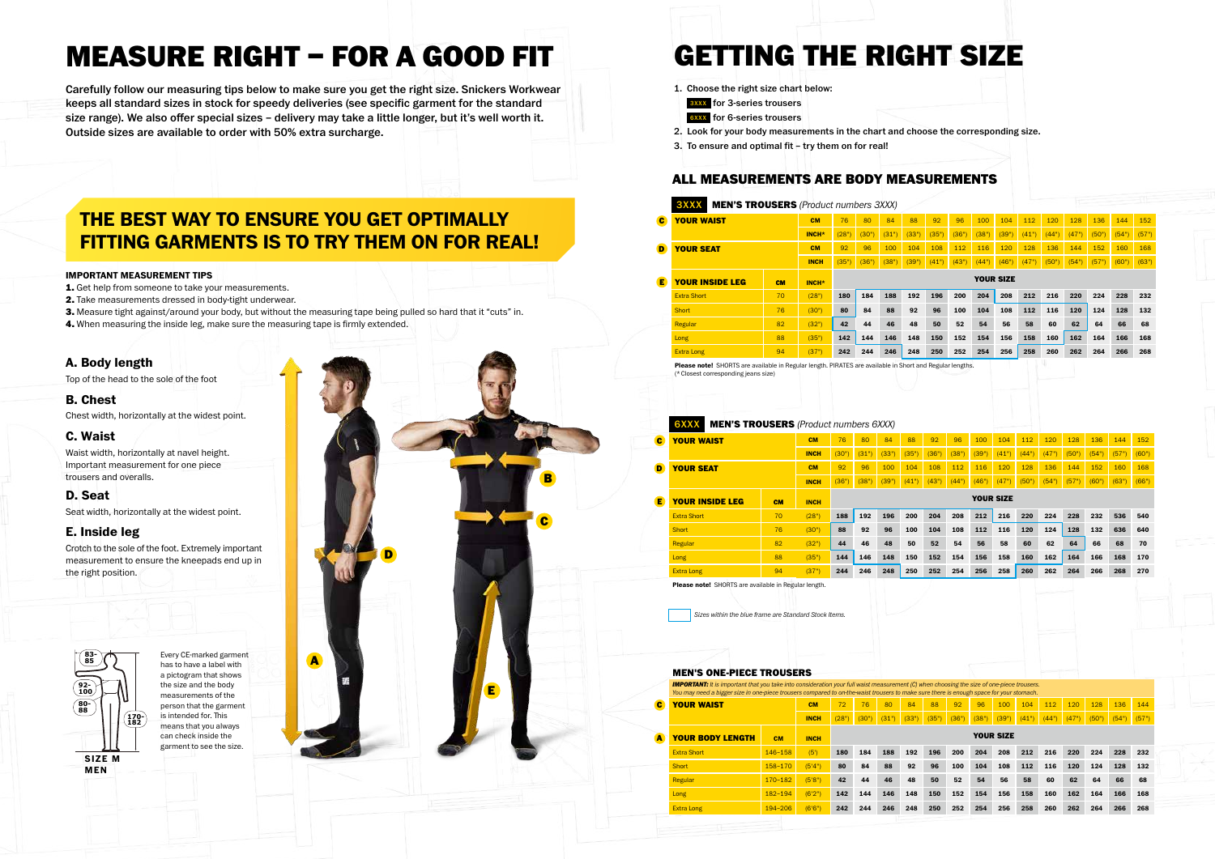



- 1. Get help from someone to take your measurements.
- 2. Take measurements dressed in body-tight underwear.
- 3. Measure tight against/around your body, but without the measuring tape being pulled so hard that it "cuts" in.
- 4. When measuring the inside leg, make sure the measuring tape is firmly extended.

 $\begin{array}{c} 85 \\ \hline \end{array}$   $\begin{array}{c}$   $\end{array}$   $\begin{array}{c}$   $\end{array}$   $\begin{array}{c} \hline \end{array}$   $\begin{array}{c} \hline \end{array}$   $\begin{array}{c} \hline \end{array}$   $\begin{array}{c} \hline \end{array}$   $\begin{array}{c} \hline \end{array}$   $\begin{array}{c} \hline \end{array}$   $\begin{array}{c} \hline \end{array}$   $\begin{array}{c} \hline \end{array}$   $\begin{array}{c} \hline \end{array}$ Every CE-marked garment a pictogram that shows the size and the body measurements of the person that the garment is intended for. This means that you always can check inside the garment to see the size.

# MEASURE RIGHT – FOR A GOOD FIT

Carefully follow our measuring tips below to make sure you get the right size. Snickers Workwear keeps all standard sizes in stock for speedy deliveries (see specific garment for the standard size range). We also offer special sizes – delivery may take a little longer, but it's well worth it. Outside sizes are available to order with 50% extra surcharge.

| <b>YOUR WAIST</b><br><b>C</b> |                                                      | <b>CM</b>   | 72    | 76               | 80    | 84    | 88    | 92    | 96    | 100   | 104   | 112   | 120   | 128   | 136   | 144   |
|-------------------------------|------------------------------------------------------|-------------|-------|------------------|-------|-------|-------|-------|-------|-------|-------|-------|-------|-------|-------|-------|
|                               |                                                      |             |       |                  |       |       |       |       |       |       |       |       |       |       |       |       |
|                               |                                                      | <b>INCH</b> | (28") | (30")            | (31") | (33") | (35") | (36") | (38") | (39") | (41") | (44") | (47") | (50") | (54") | (57") |
| <b>YOUR BODY LENGTH</b>       | <b>CM</b>                                            | <b>INCH</b> |       | <b>YOUR SIZE</b> |       |       |       |       |       |       |       |       |       |       |       |       |
| <b>Extra Short</b>            | $146 - 158$                                          | (5')        | 180   | 184              | 188   | 192   | 196   | 200   | 204   | 208   | 212   | 216   | 220   | 224   | 228   | 232   |
| Short                         | $158 - 170$                                          | (5'4")      | 80    | 84               | 88    | 92    | 96    | 100   | 104   | 108   | 112   | 116   | 120   | 124   | 128   | 132   |
| Regular                       | $170 - 182$                                          | (5'8")      | 42    | 44               | 46    | 48    | 50    | 52    | 54    | 56    | 58    | 60    | 62    | 64    | 66    | 68    |
| Long                          | 182-194                                              | (6'2")      | 142   | 144              | 146   | 148   | 150   | 152   | 154   | 156   | 158   | 160   | 162   | 164   | 166   | 168   |
|                               | 244<br>242<br>(6'6")<br>194-206<br><b>Extra Long</b> |             |       |                  |       |       | 250   | 252   | 254   | 256   | 258   | 260   | 262   | 264   | 266   | 268   |

#### **IMPORTANT MEASUREMENT TIPS**

Please in PIRATES are ava**d** (\*Closest corresponding jeans size)

| $\mathbf{c}$ | <b>YOUR WAIST</b>                                           |           | CM          | 76    | 80    | 84    | 88    | 92    | 96    | 100   | 104              | 112   | 120   | 128   | 136   | 144   | 152   |
|--------------|-------------------------------------------------------------|-----------|-------------|-------|-------|-------|-------|-------|-------|-------|------------------|-------|-------|-------|-------|-------|-------|
|              |                                                             |           | <b>INCH</b> | (30") | (31") | (33") | (35") | (36"  | (38"  | (39"  | (41")            | (44"  | (47") | (50"  | (54"  | (57") | (60") |
| D            | <b>YOUR SEAT</b>                                            |           | CM          | 92    | 96    | 100   | 104   | 108   | 112   | 116   | 120              | 128   | 136   | 144   | 152   | 160   | 168   |
|              |                                                             |           | <b>INCH</b> | (36") | (38") | (39") | (41") | (43") | (44") | (46") | (47")            | (50") | (54") | (57") | (60") | (63") | (66") |
| Е            | <b>YOUR INSIDE LEG</b>                                      | <b>CM</b> | <b>INCH</b> |       |       |       |       |       |       |       | <b>YOUR SIZE</b> |       |       |       |       |       |       |
|              | <b>Extra Short</b>                                          | 70        | (28")       | 188   | 192   | 196   | 200   | 204   | 208   | 212   | 216              | 220   | 224   | 228   | 232   | 536   | 540   |
|              | <b>Short</b>                                                | 76        | (30")       | 88    | 92    | 96    | 100   | 104   | 108   | 112   | 116              | 120   | 124   | 128   | 132   | 636   | 640   |
|              | Regular                                                     | 82        | (32")       | 44    | 46    | 48    | 50    | 52    | 54    | 56    | 58               | 60    | 62    | 64    | 66    | 68    | 70    |
|              | Long                                                        | 88        | (35")       | 144   | 146   | 148   | 150   | 152   | 154   | 156   | 158              | 160   | 162   | 164   | 166   | 168   | 170   |
|              | <b>Extra Long</b>                                           | 94        | (37")       | 244   | 246   | 248   | 250   | 252   | 254   | 256   | 258              | 260   | 262   | 264   | 266   | 268   | 270   |
|              | <b>Please note!</b> SHORTS are available in Regular length. |           |             |       |       |       |       |       |       |       |                  |       |       |       |       |       |       |

|    | 3XXX<br><b>MEN'S TROUSERS</b> (Product numbers 3XXX) |                                                                                                                                                                                                                                   |                   |       |       |       |       |       |       |                  |      |       |      |      |       |       |       |
|----|------------------------------------------------------|-----------------------------------------------------------------------------------------------------------------------------------------------------------------------------------------------------------------------------------|-------------------|-------|-------|-------|-------|-------|-------|------------------|------|-------|------|------|-------|-------|-------|
| C. | <b>YOUR WAIST</b>                                    |                                                                                                                                                                                                                                   | <b>CM</b>         | 76    | 80    | 84    | 88    | 92    | 96    | 100              | 104  | 112   | 120  | 128  | 136   | 144   | 152   |
|    |                                                      |                                                                                                                                                                                                                                   | INCH <sup>*</sup> | (28") | (30") | (31") | (33") | (35") | (36") | (38"             | (39" | (41") | (44" | (47" | (50"  | (54") | (57") |
| D  | <b>YOUR SEAT</b>                                     |                                                                                                                                                                                                                                   | <b>CM</b>         | 92    | 96    | 100   | 104   | 108   | 112   | 116              | 120  | 128   | 136  | 144  | 152   | 160   | 168   |
|    |                                                      |                                                                                                                                                                                                                                   | <b>INCH</b>       | (35") | (36") | (38") | (39") | (41") | (43") | (44")            | (46" | (47") | (50" | (54" | (57") | (60") | (63") |
| Е  | <b>YOUR INSIDE LEG</b>                               | <b>CM</b>                                                                                                                                                                                                                         | INCH <sup>*</sup> |       |       |       |       |       |       | <b>YOUR SIZE</b> |      |       |      |      |       |       |       |
|    | <b>Extra Short</b>                                   | 70                                                                                                                                                                                                                                | (28")             | 180   | 184   | 188   | 192   | 196   | 200   | 204              | 208  | 212   | 216  | 220  | 224   | 228   | 232   |
|    | <b>Short</b>                                         | 76                                                                                                                                                                                                                                | (30")             | 80    | 84    | 88    | 92    | 96    | 100   | 104              | 108  | 112   | 116  | 120  | 124   | 128   | 132   |
|    | Regular                                              | 82                                                                                                                                                                                                                                | (32")             | 42    | 44    | 46    | 48    | 50    | 52    | 54               | 56   | 58    | 60   | 62   | 64    | 66    | 68    |
|    | Long                                                 | 88                                                                                                                                                                                                                                | (35")             | 142   | 144   | 146   | 148   | 150   | 152   | 154              | 156  | 158   | 160  | 162  | 164   | 166   | 168   |
|    | <b>Extra Long</b>                                    | 94                                                                                                                                                                                                                                | (37")             | 242   | 244   | 246   | 248   | 250   | 252   | 254              | 256  | 258   | 260  | 262  | 264   | 266   | 268   |
|    | <b>BL LIQUOTO</b>                                    | $\mathbf{u}$ , and the contract of the contract of the contract of the contract of the contract of the contract of the contract of the contract of the contract of the contract of the contract of the contract of the contract o |                   |       |       |       |       |       |       |                  |      |       |      |      |       |       |       |

# **A. Body length**

Top of the head to the sole of the foot

### **B. Chest**

Chest width, horizontally at the widest point.

#### 6XXX MEN'S TROUSERS *(Product numbers 6XXX)*

# **C. Waist**

Waist width, horizontally at navel height. Important measurement for one piece trousers and overalls.

# **D. Seat**

Seat width, horizontally at the widest point.

# **E. Inside leg**

Crotch to the sole of the foot. Extremely important measurement to ensure the kneepads end up in the right position.

# **THE BEST WAY TO ENSURE YOU GET OPTIMALLY FITTING GARMENTS IS TO TRY THEM ON FOR REAL!**

# GETTING THE RIGHT SIZE

- 1. Choose the right size chart below:
- **3XXX** for 3-series trousers
- **6XXX** for 6-series trousers
- 2. Look for your body measurements in the chart and choose the corresponding size.
- 3. To ensure and optimal fit try them on for real!

#### MEN'S ONE-PIECE TROUSERS

# ALL MEASUREMENTS ARE BODY MEASUREMENTS

*Sizes within the blue frame are Standard Stock Items.*